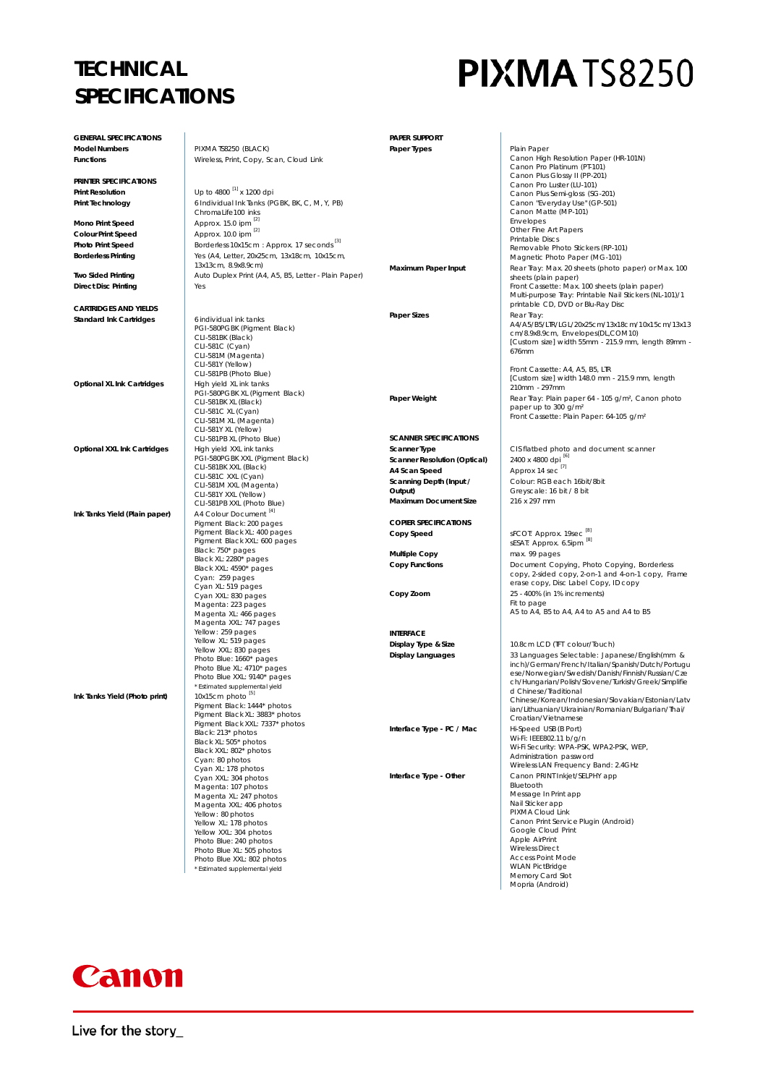## **TECHNICAL SPECIFICATIONS**

# PIXMATS8250

| <b>GENERAL SPECIFICATIONS</b>     |                                                                      | PAPER SUPPORT                       |                                                                                                  |
|-----------------------------------|----------------------------------------------------------------------|-------------------------------------|--------------------------------------------------------------------------------------------------|
| <b>Model Numbers</b>              | PIXMATS8250 (BLACK)                                                  | Paper Types                         | Plain Paper                                                                                      |
| <b>Functions</b>                  | Wireless, Print, Copy, Scan, Cloud Link                              |                                     | Canon High Resolution Paper (HR-101N)                                                            |
|                                   |                                                                      |                                     | Canon Pro Platinum (PT-101)<br>Canon Plus Glossy II (PP-201)                                     |
| PRINTER SPECIFICATIONS            |                                                                      |                                     | Canon Pro Luster (LU-101)                                                                        |
| <b>Print Resolution</b>           | Up to 4800 <sup>[1]</sup> x 1200 dpi                                 |                                     | Canon Plus Semi-gloss (SG-201)                                                                   |
| <b>Print Technology</b>           | 6 Individual Ink Tanks (PGBK, BK, C, M, Y, PB)<br>ChromaLife100 inks |                                     | Canon "Everyday Use" (GP-501)<br>Canon Matte (MP-101)                                            |
| Mono Print Speed                  | Approx. 15.0 ipm [2]                                                 |                                     | <b>Envelopes</b>                                                                                 |
| <b>Colour Print Speed</b>         | Approx. 10.0 ipm 21                                                  |                                     | Other Fine Art Papers                                                                            |
| Photo Print Speed                 | Borderless 10x15cm: Approx. 17 seconds <sup>[3]</sup>                |                                     | Printable Discs                                                                                  |
| <b>Borderless Printing</b>        | Yes (A4, Letter, 20x25cm, 13x18cm, 10x15cm,                          |                                     | Removable Photo Stickers (RP-101)<br>Magnetic Photo Paper (MG-101)                               |
|                                   | 13x13cm, 8.9x8.9cm)                                                  | Maximum Paper Input                 | Rear Tray: Max. 20 sheets (photo paper) or Max. 100                                              |
| <b>Two Sided Printing</b>         | Auto Duplex Print (A4, A5, B5, Letter - Plain Paper)                 |                                     | sheets (plain paper)                                                                             |
| <b>Direct Disc Printing</b>       | Yes                                                                  |                                     | Front Cassette: Max. 100 sheets (plain paper)                                                    |
|                                   |                                                                      |                                     | Multi-purpose Tray: Printable Nail Stickers (NL-101)/1<br>printable CD, DVD or Blu-Ray Disc      |
| <b>CARTRIDGES AND YIELDS</b>      |                                                                      | <b>Paper Sizes</b>                  | Rear Tray:                                                                                       |
| <b>Standard Ink Cartridges</b>    | 6 individual ink tanks<br>PGI-580PGBK (Pigment Black)                |                                     | A4/A5/B5/LTR/LGL/20x25cm/13x18cm/10x15cm/13x13                                                   |
|                                   | CLI-581BK (Black)                                                    |                                     | cm/8.9x8.9cm, Envelopes(DL,COM10)                                                                |
|                                   | CLI-581C (Cyan)                                                      |                                     | [Custom size] width 55mm - 215.9 mm, length 89mm -<br>676mm                                      |
|                                   | CLI-581M (Magenta)<br>CLI-581Y (Yellow)                              |                                     |                                                                                                  |
|                                   | CLI-581PB (Photo Blue)                                               |                                     | Front Cassette: A4, A5, B5, LTR                                                                  |
| <b>Optional XL Ink Cartridges</b> | High yield XL ink tanks                                              |                                     | [Custom size] width 148.0 mm - 215.9 mm, length<br>210mm - 297mm                                 |
|                                   | PGI-580PGBK XL (Pigment Black)                                       | Paper Weight                        | Rear Tray: Plain paper 64 - 105 g/m <sup>2</sup> , Canon photo                                   |
|                                   | CLI-581BK XL (Black)                                                 |                                     | paper up to 300 g/m <sup>2</sup>                                                                 |
|                                   | CLI-581C XL (Cyan)<br>CLI-581M XL (Magenta)                          |                                     | Front Cassette: Plain Paper: 64-105 g/m <sup>2</sup>                                             |
|                                   | CLI-581Y XL (Yellow)                                                 |                                     |                                                                                                  |
|                                   | CLI-581PB XL (Photo Blue)                                            | <b>SCANNER SPECIFICATIONS</b>       |                                                                                                  |
| Optional XXL Ink Cartridges       | High yield XXL ink tanks                                             | <b>Scanner Type</b>                 | CIS flatbed photo and document scanner                                                           |
|                                   | PGI-580PGBK XXL (Pigment Black)<br>CLI-581BK XXL (Black)             | <b>Scanner Resolution (Optical)</b> | 2400 x 4800 dpi [6]                                                                              |
|                                   | CLI-581C XXL (Cyan)                                                  | A4 Scan Speed                       | Approx 14 sec <sup>[7]</sup>                                                                     |
|                                   | CLI-581M XXL (Magenta)                                               | Scanning Depth (Input /<br>Output)  | Colour: RGB each 16bit/8bit<br>Greyscale: 16 bit / 8 bit                                         |
|                                   | CLI-581Y XXL (Yellow)<br>CLI-581PB XXL (Photo Blue)                  | Maximum Document Size               | 216 x 297 mm                                                                                     |
| Ink Tanks Yield (Plain paper)     | A4 Colour Document <sup>[4]</sup>                                    |                                     |                                                                                                  |
|                                   | Pigment Black: 200 pages                                             | <b>COPIER SPECIFICATIONS</b>        |                                                                                                  |
|                                   | Pigment Black XL: 400 pages                                          | Copy Speed                          | sFCOT: Approx. 19sec <sup>[8]</sup>                                                              |
|                                   | Pigment Black XXL: 600 pages                                         |                                     | sESAT: Approx. 6.5ipm <sup>8.</sup>                                                              |
|                                   | Black: 750* pages<br>Black XL: 2280* pages                           | <b>Multiple Copy</b>                | max. 99 pages                                                                                    |
|                                   | Black XXL: 4590* pages                                               | <b>Copy Functions</b>               | Document Copying, Photo Copying, Borderless<br>copy, 2-sided copy, 2-on-1 and 4-on-1 copy, Frame |
|                                   | Cyan: 259 pages                                                      |                                     | erase copy, Disc Label Copy, ID copy                                                             |
|                                   | Cyan XL: 519 pages<br>Cyan XXL: 830 pages                            | Copy Zoom                           | 25 - 400% (in 1% increments)                                                                     |
|                                   | Magenta: 223 pages                                                   |                                     | Fit to page                                                                                      |
|                                   | Magenta XL: 466 pages                                                |                                     | A5 to A4, B5 to A4, A4 to A5 and A4 to B5                                                        |
|                                   | Magenta XXL: 747 pages<br>Yellow: 259 pages                          | <b>INTERFACE</b>                    |                                                                                                  |
|                                   | Yellow XL: 519 pages                                                 | Display Type & Size                 | 10.8cm LCD (TFT colour/Touch)                                                                    |
|                                   | Yellow XXL: 830 pages                                                | <b>Display Languages</b>            | 33 Languages Selectable: Japanese/English(mm &                                                   |
|                                   | Photo Blue: 1660* pages<br>Photo Blue XL: 4710* pages                |                                     | inch)/German/French/Italian/Spanish/Dutch/Portugu                                                |
|                                   | Photo Blue XXL: 9140* pages                                          |                                     | ese/Norwegian/Swedish/Danish/Finnish/Russian/Cze                                                 |
|                                   | * Estimated supplemental yield                                       |                                     | ch/Hungarian/Polish/Slovene/Turkish/Greek/Simplifie<br>d Chinese/Traditional                     |
| Ink Tanks Yield (Photo print)     | 10x15cm photo <sup>[5]</sup>                                         |                                     | Chinese/Korean/Indonesian/Slovakian/Estonian/Latv                                                |
|                                   | Pigment Black: 1444* photos<br>Pigment Black XL: 3883* photos        |                                     | ian/Lithuanian/Ukrainian/Romanian/Bulgarian/Thai/                                                |
|                                   | Pigment Black XXL: 7337* photos                                      |                                     | Croatian/Vietnamese                                                                              |
|                                   | Black: 213* photos                                                   | Interface Type - PC / Mac           | Hi-Speed USB (B Port)<br>Wi-Fi: IEEE802.11 b/g/n                                                 |
|                                   | Black XL: 505* photos                                                |                                     | Wi-Fi Security: WPA-PSK, WPA2-PSK, WEP,                                                          |
|                                   | Black XXL: 802* photos<br>Cyan: 80 photos                            |                                     | Administration password                                                                          |
|                                   | Cyan XL: 178 photos                                                  |                                     | Wireless LAN Frequency Band: 2.4GHz                                                              |
|                                   | Cyan XXL: 304 photos                                                 | Interface Type - Other              | Canon PRINT Inkjet/SELPHY app<br>Bluetooth                                                       |
|                                   | Magenta: 107 photos<br>Magenta XL: 247 photos                        |                                     | Message In Print app                                                                             |
|                                   | Magenta XXL: 406 photos                                              |                                     | Nail Sticker app                                                                                 |
|                                   | Yellow: 80 photos                                                    |                                     | PIXMA Cloud Link                                                                                 |
|                                   | Yellow XL: 178 photos<br>Yellow XXL: 304 photos                      |                                     | Canon Print Service Plugin (Android)<br>Google Cloud Print                                       |
|                                   | Photo Blue: 240 photos                                               |                                     | Apple AirPrint                                                                                   |
|                                   | Photo Blue XL: 505 photos                                            |                                     | <b>Wireless Direct</b>                                                                           |
|                                   | Photo Blue XXL: 802 photos                                           |                                     | <b>Access Point Mode</b><br><b>WLAN PictBridge</b>                                               |
|                                   | * Estimated supplemental yield                                       |                                     | Memory Card Slot                                                                                 |
|                                   |                                                                      |                                     | Mopria (Android)                                                                                 |



Live for the story\_